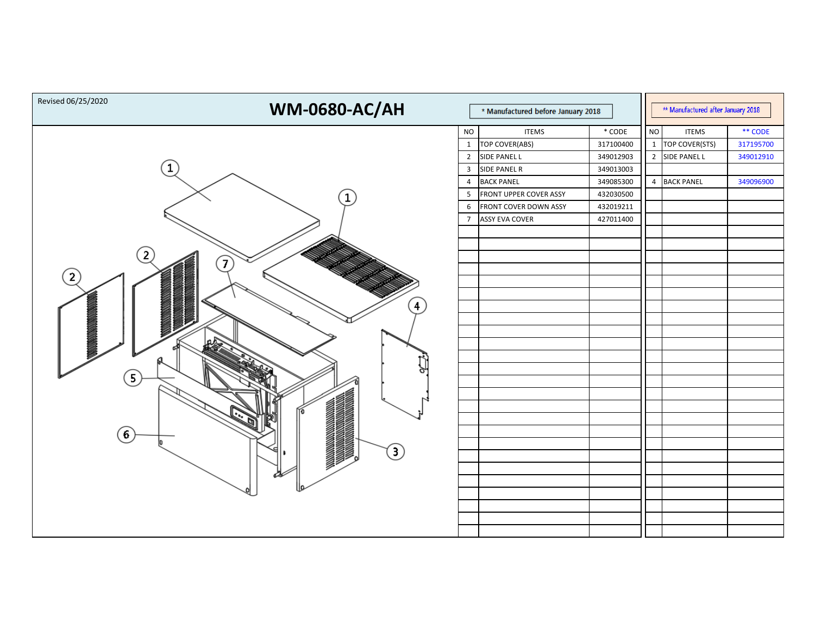|                                                                                                       | * Manufactured before January 2018                                                        |                                                                                                                                                                               |                                                                                                     |    | ** Manufactured after January 2018                                   |                                                |  |
|-------------------------------------------------------------------------------------------------------|-------------------------------------------------------------------------------------------|-------------------------------------------------------------------------------------------------------------------------------------------------------------------------------|-----------------------------------------------------------------------------------------------------|----|----------------------------------------------------------------------|------------------------------------------------|--|
| 1<br>$\mathbf{7}$<br>$\mathbf{2}$<br>$\overline{4}$<br>$\mathbf{5}$<br>$6^{\circ}$<br>$\bigcirc$<br>⊲ | <b>NO</b><br>$\mathbf{1}$<br>$2^{\circ}$<br>$\mathbf{3}$<br>4<br>5<br>6<br>$\overline{7}$ | <b>ITEMS</b><br>TOP COVER(ABS)<br>SIDE PANEL L<br><b>SIDE PANEL R</b><br><b>BACK PANEL</b><br><b>FRONT UPPER COVER ASSY</b><br>FRONT COVER DOWN ASSY<br><b>ASSY EVA COVER</b> | $*$ CODE<br>317100400<br>349012903<br>349013003<br>349085300<br>432030500<br>432019211<br>427011400 | NO | <b>ITEMS</b><br>1   TOP COVER(STS)<br>2 SIDE PANEL L<br>4 BACK PANEL | ** CODE<br>317195700<br>349012910<br>349096900 |  |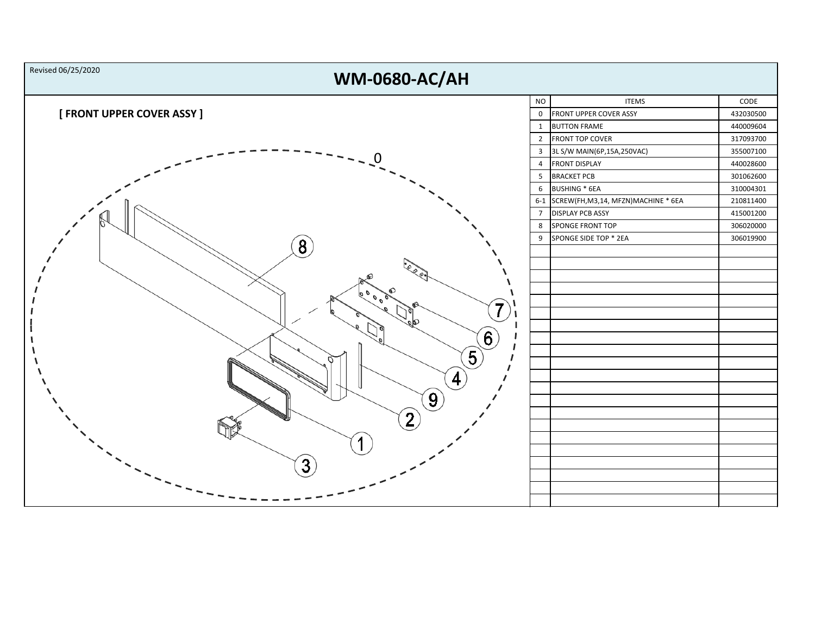| Revised 06/25/2020<br><b>WM-0680-AC/AH</b> |                |                                           |           |
|--------------------------------------------|----------------|-------------------------------------------|-----------|
|                                            | <b>NO</b>      | <b>ITEMS</b>                              | CODE      |
| [ FRONT UPPER COVER ASSY ]                 |                | 0 FRONT UPPER COVER ASSY                  | 432030500 |
|                                            | $\mathbf{1}$   | <b>BUTTON FRAME</b>                       | 440009604 |
|                                            |                | 2 FRONT TOP COVER                         | 317093700 |
|                                            |                | 3 3L S/W MAIN(6P,15A,250VAC)              | 355007100 |
|                                            | $\overline{4}$ | <b>FRONT DISPLAY</b>                      | 440028600 |
|                                            |                | 5 BRACKET PCB                             | 301062600 |
|                                            | 6              | BUSHING * 6EA                             | 310004301 |
|                                            |                | 6-1 SCREW(FH, M3, 14, MFZN) MACHINE * 6EA | 210811400 |
|                                            | $\overline{7}$ | <b>DISPLAY PCB ASSY</b>                   | 415001200 |
|                                            | 8              | SPONGE FRONT TOP                          | 306020000 |
|                                            | 9              | SPONGE SIDE TOP * 2EA                     | 306019900 |
| $\bf{8}^{\prime}$                          |                |                                           |           |
|                                            |                |                                           |           |
|                                            |                |                                           |           |
|                                            |                |                                           |           |
| 6000<br>7                                  |                |                                           |           |
|                                            |                |                                           |           |
| skO                                        |                |                                           |           |
| $\left( 6\right)$                          |                |                                           |           |
| $\left(5\right)$                           |                |                                           |           |
|                                            |                |                                           |           |
| 4 <sub>1</sub>                             |                |                                           |           |
|                                            |                |                                           |           |
| $\left[9\right]$                           |                |                                           |           |
| $\overline{2}$                             |                |                                           |           |
|                                            |                |                                           |           |
|                                            |                |                                           |           |
|                                            |                |                                           |           |
| $\overline{3}$                             |                |                                           |           |
|                                            |                |                                           |           |
|                                            |                |                                           |           |
|                                            |                |                                           |           |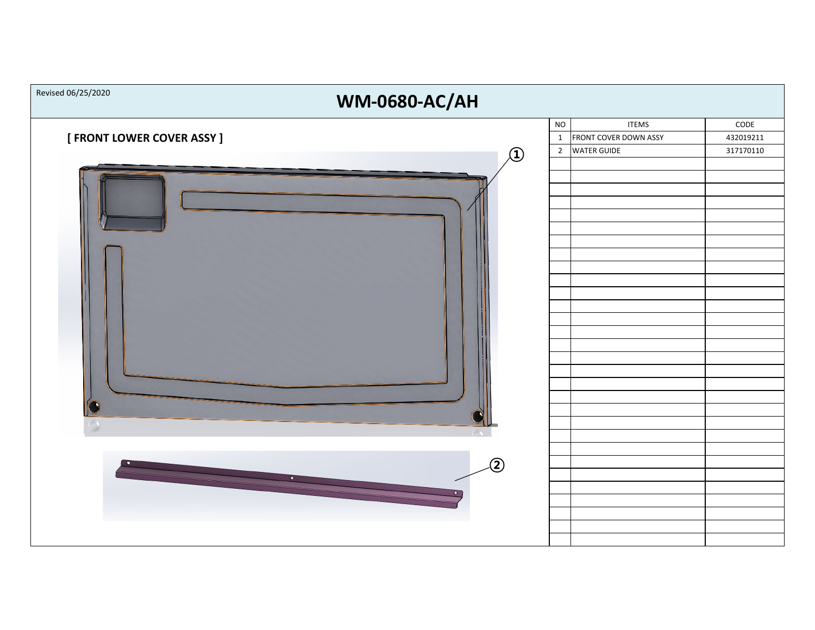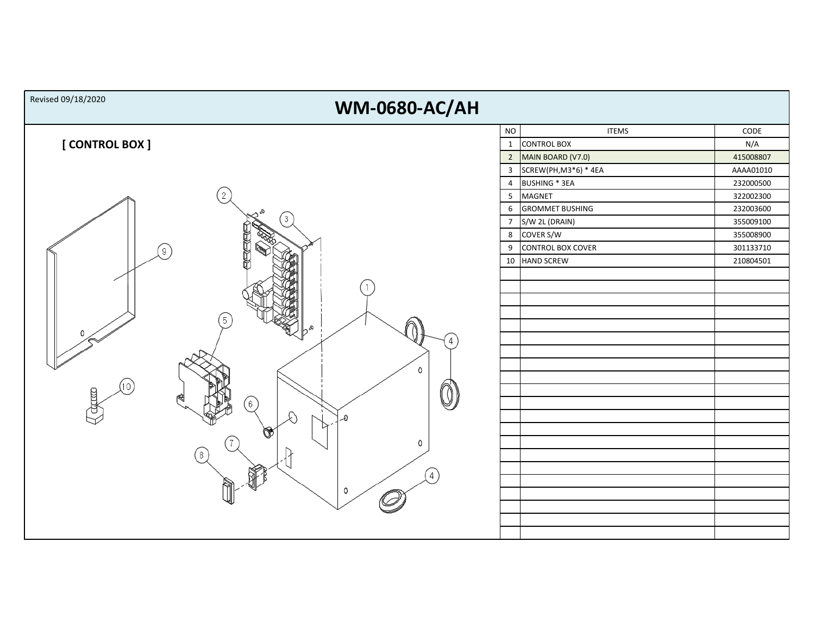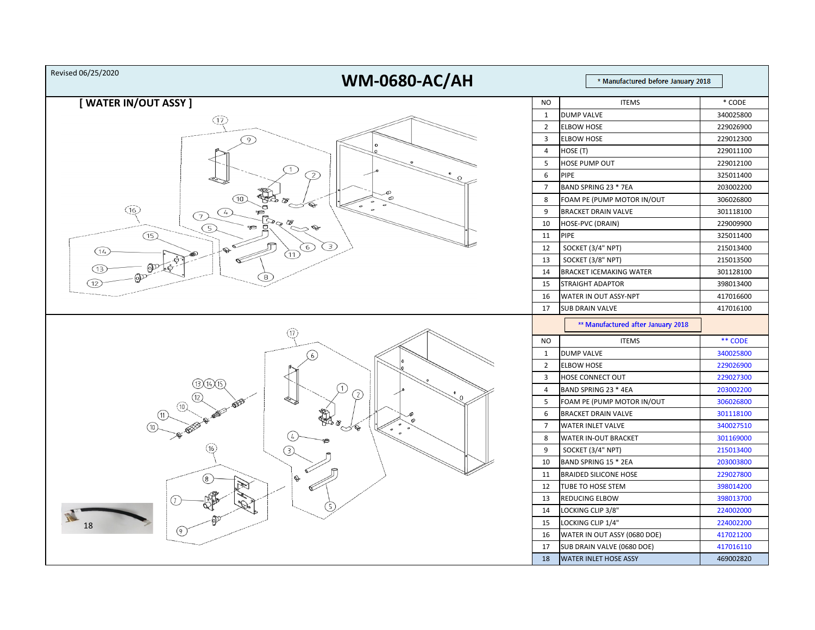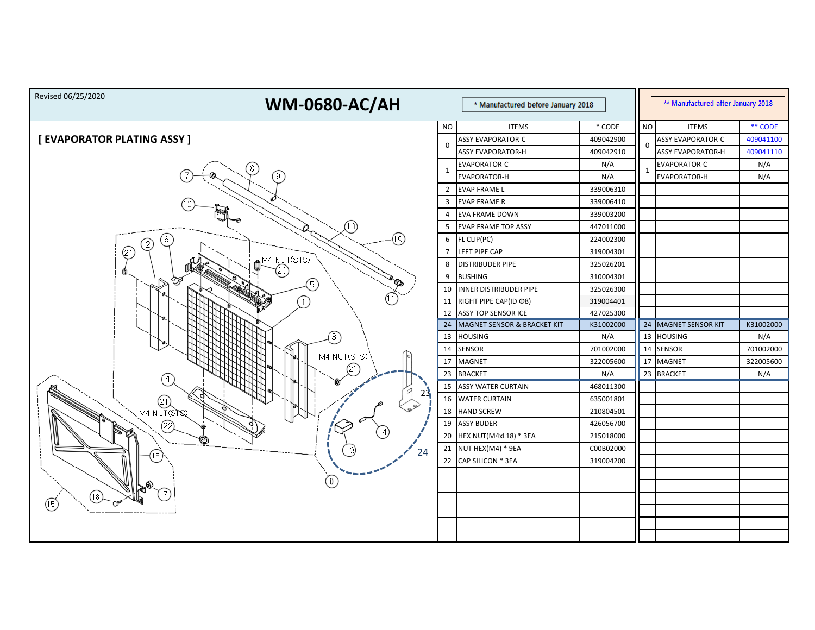| Revised 06/25/2020<br><b>WM-0680-AC/AH</b> |                | * Manufactured before January 2018           |                        |           | ** Manufactured after January 2018 |           |
|--------------------------------------------|----------------|----------------------------------------------|------------------------|-----------|------------------------------------|-----------|
|                                            | <b>NO</b>      | <b>ITEMS</b>                                 | $*$ CODE               | <b>NO</b> | <b>ITEMS</b>                       | ** CODE   |
| [ EVAPORATOR PLATING ASSY ]                |                | <b>ASSY EVAPORATOR-C</b>                     | 409042900              |           | <b>ASSY EVAPORATOR-C</b>           | 409041100 |
|                                            | $\Omega$       | <b>ASSY EVAPORATOR-H</b>                     | 409042910              | 0         | <b>ASSY EVAPORATOR-H</b>           | 409041110 |
| 8                                          |                | <b>EVAPORATOR-C</b>                          | N/A                    | 1         | <b>EVAPORATOR-C</b>                | N/A       |
| 9                                          | 1              | EVAPORATOR-H                                 | N/A                    |           | <b>EVAPORATOR-H</b>                | N/A       |
|                                            | $\overline{2}$ | <b>EVAP FRAME L</b>                          | 339006310              |           |                                    |           |
|                                            | 3              | <b>EVAP FRAME R</b>                          | 339006410              |           |                                    |           |
|                                            | 4              | <b>EVA FRAME DOWN</b>                        | 339003200              |           |                                    |           |
| (10)                                       | 5              | <b>EVAP FRAME TOP ASSY</b>                   | 447011000              |           |                                    |           |
| (19)<br>-6                                 | 6              | FL CLIP(PC)                                  | 224002300              |           |                                    |           |
| (21)                                       |                | LEFT PIPE CAP                                | 319004301              |           |                                    |           |
| M4 NUT(STS)                                | 8              | <b>DISTRIBUDER PIPE</b>                      | 325026201              |           |                                    |           |
| B<br>$\mathcal{C}_\mathcal{D}$<br>5        | 9              | <b>BUSHING</b>                               | 310004301              |           |                                    |           |
|                                            | 10             | <b>INNER DISTRIBUDER PIPE</b>                | 325026300              |           |                                    |           |
|                                            | 11             | RIGHT PIPE CAP(ID @8)                        | 319004401              |           |                                    |           |
|                                            | 12             | <b>ASSY TOP SENSOR ICE</b>                   | 427025300              |           |                                    |           |
|                                            | 24             | MAGNET SENSOR & BRACKET KIT                  | K31002000              |           | 24 MAGNET SENSOR KIT               | K31002000 |
| 3                                          | 13             | <b>HOUSING</b>                               | N/A                    |           | 13 HOUSING                         | N/A       |
| M4 NUT(STS)                                | 14             | <b>SENSOR</b>                                | 701002000              |           | 14 SENSOR                          | 701002000 |
|                                            | 17             | <b>MAGNET</b>                                | 322005600              |           | 17 MAGNET                          | 322005600 |
|                                            |                | 23 BRACKET                                   | N/A                    |           | 23 BRACKET                         | N/A       |
| 23                                         |                | 15 ASSY WATER CURTAIN                        | 468011300              |           |                                    |           |
| )<br>M4 NUT(STS)                           |                | 16 WATER CURTAIN                             | 635001801              |           |                                    |           |
|                                            |                | 18 HAND SCREW                                | 210804501              |           |                                    |           |
| 22)<br>Py.<br>14                           | 19             | <b>ASSY BUDER</b>                            | 426056700              |           |                                    |           |
| ©                                          | 20             | HEX NUT(M4xL18) * 3EA                        | 215018000              |           |                                    |           |
| (13)<br>24<br>16.                          |                | 21 NUT HEX(M4) * 9EA<br>22 CAP SILICON * 3EA | C00B02000<br>319004200 |           |                                    |           |
|                                            |                |                                              |                        |           |                                    |           |
|                                            |                |                                              |                        |           |                                    |           |
| [18]                                       |                |                                              |                        |           |                                    |           |
| $(\mathsf{F})$                             |                |                                              |                        |           |                                    |           |
| -----------                                |                |                                              |                        |           |                                    |           |
|                                            |                |                                              |                        |           |                                    |           |
|                                            |                |                                              |                        |           |                                    |           |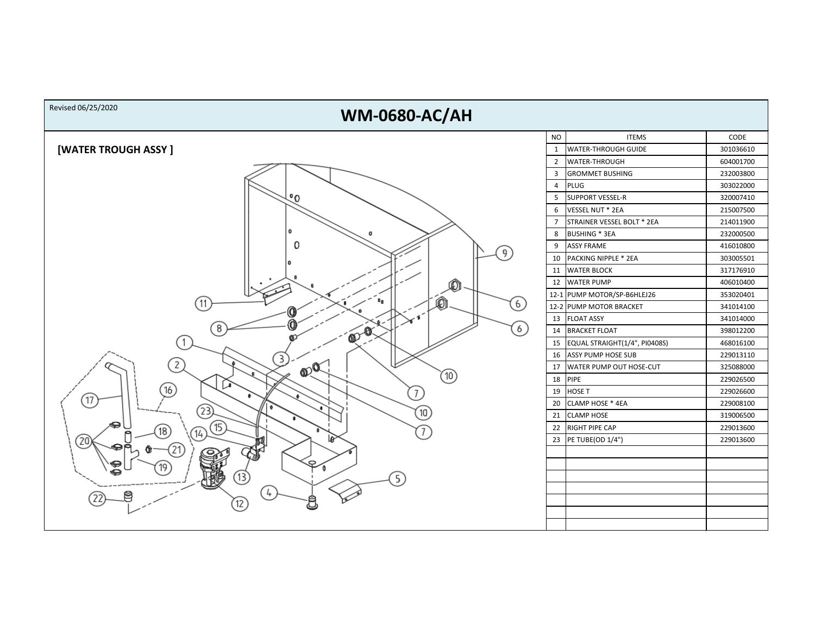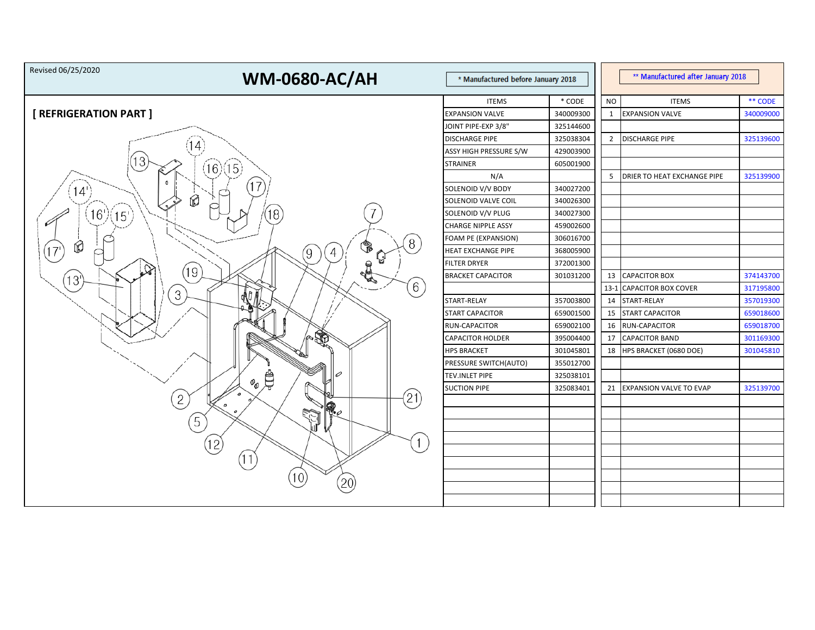